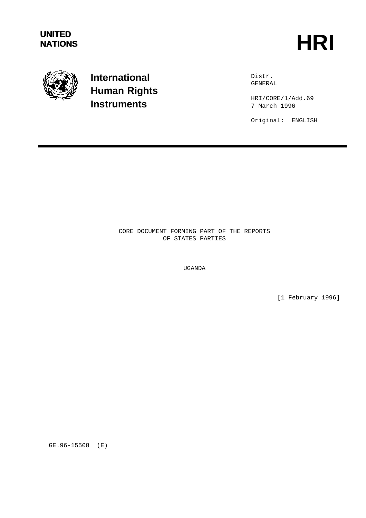

**International Human Rights Instruments**

Distr. GENERAL

HRI/CORE/1/Add.69 7 March 1996

Original: ENGLISH

CORE DOCUMENT FORMING PART OF THE REPORTS OF STATES PARTIES

UGANDA

[1 February 1996]

GE.96-15508 (E)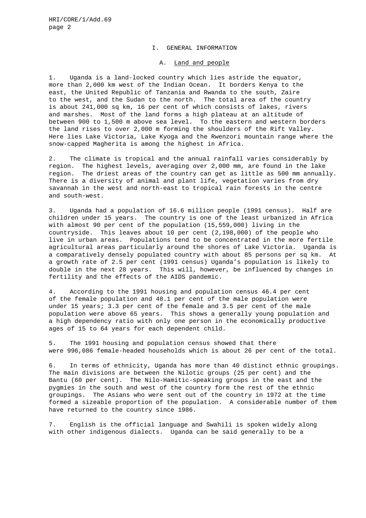#### I. GENERAL INFORMATION

### A. Land and people

1. Uganda is a land-locked country which lies astride the equator, more than 2,000 km west of the Indian Ocean. It borders Kenya to the east, the United Republic of Tanzania and Rwanda to the south, Zaire to the west, and the Sudan to the north. The total area of the country is about 241,000 sq km, 16 per cent of which consists of lakes, rivers and marshes. Most of the land forms a high plateau at an altitude of between 900 to 1,500 m above sea level. To the eastern and western borders the land rises to over 2,000 m forming the shoulders of the Rift Valley. Here lies Lake Victoria, Lake Kyoga and the Rwenzori mountain range where the snow-capped Magherita is among the highest in Africa.

2. The climate is tropical and the annual rainfall varies considerably by region. The highest levels, averaging over 2,000 mm, are found in the lake region. The driest areas of the country can get as little as 500 mm annually. There is a diversity of animal and plant life, vegetation varies from dry savannah in the west and north-east to tropical rain forests in the centre and south-west.

3. Uganda had a population of 16.6 million people (1991 census). Half are children under 15 years. The country is one of the least urbanized in Africa with almost 90 per cent of the population (15,559,000) living in the countryside. This leaves about 10 per cent (2,198,000) of the people who live in urban areas. Populations tend to be concentrated in the more fertile agricultural areas particularly around the shores of Lake Victoria. Uganda is a comparatively densely populated country with about 85 persons per sq km. At a growth rate of 2.5 per cent (1991 census) Uganda's population is likely to double in the next 28 years. This will, however, be influenced by changes in fertility and the effects of the AIDS pandemic.

4. According to the 1991 housing and population census 46.4 per cent of the female population and 48.1 per cent of the male population were under 15 years; 3.3 per cent of the female and 3.5 per cent of the male population were above 65 years. This shows a generally young population and a high dependency ratio with only one person in the economically productive ages of 15 to 64 years for each dependent child.

5. The 1991 housing and population census showed that there were 996,086 female-headed households which is about 26 per cent of the total.

6. In terms of ethnicity, Uganda has more than 40 distinct ethnic groupings. The main divisions are between the Nilotic groups (25 per cent) and the Bantu (60 per cent). The Nilo-Hamitic-speaking groups in the east and the pygmies in the south and west of the country form the rest of the ethnic groupings. The Asians who were sent out of the country in 1972 at the time formed a sizeable proportion of the population. A considerable number of them have returned to the country since 1986.

7. English is the official language and Swahili is spoken widely along with other indigenous dialects. Uganda can be said generally to be a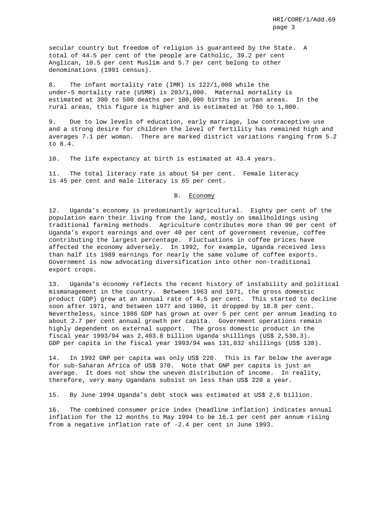secular country but freedom of religion is guaranteed by the State. A total of 44.5 per cent of the people are Catholic, 39.2 per cent Anglican, 10.5 per cent Muslim and 5.7 per cent belong to other denominations (1991 census).

8. The infant mortality rate (IMR) is 122/1,000 while the under-5 mortality rate (U5MR) is 203/1,000. Maternal mortality is estimated at 300 to 500 deaths per 100,000 births in urban areas. In the rural areas, this figure is higher and is estimated at 700 to 1,000.

9. Due to low levels of education, early marriage, low contraceptive use and a strong desire for children the level of fertility has remained high and averages 7.1 per woman. There are marked district variations ranging from 5.2 to 8.4.

10. The life expectancy at birth is estimated at 43.4 years.

11. The total literacy rate is about 54 per cent. Female literacy is 45 per cent and male literacy is 65 per cent.

#### B. Economy

12. Uganda's economy is predominantly agricultural. Eighty per cent of the population earn their living from the land, mostly on smallholdings using traditional farming methods. Agriculture contributes more than 90 per cent of Uganda's export earnings and over 40 per cent of government revenue, coffee contributing the largest percentage. Fluctuations in coffee prices have affected the economy adversely. In 1992, for example, Uganda received less than half its 1989 earnings for nearly the same volume of coffee exports. Government is now advocating diversification into other non-traditional export crops.

13. Uganda's economy reflects the recent history of instability and political mismanagement in the country. Between 1963 and 1971, the gross domestic product (GDP) grew at an annual rate of 4.5 per cent. This started to decline soon after 1971, and between 1977 and 1980, it dropped by 18.8 per cent. Nevertheless, since 1986 GDP has grown at over 5 per cent per annum leading to about 2.7 per cent annual growth per capita. Government operations remain highly dependent on external support. The gross domestic product in the fiscal year 1993/94 was 2,403.8 billion Uganda shillings (US\$ 2,530.3). GDP per capita in the fiscal year 1993/94 was 131,032 shillings (US\$ 138).

14. In 1992 GNP per capita was only US\$ 220. This is far below the average for sub-Saharan Africa of US\$ 370. Note that GNP per capita is just an average. It does not show the uneven distribution of income. In reality, therefore, very many Ugandans subsist on less than US\$ 220 a year.

15. By June 1994 Uganda's debt stock was estimated at US\$ 2.6 billion.

16. The combined consumer price index (headline inflation) indicates annual inflation for the 12 months to May 1994 to be 16.1 per cent per annum rising from a negative inflation rate of -2.4 per cent in June 1993.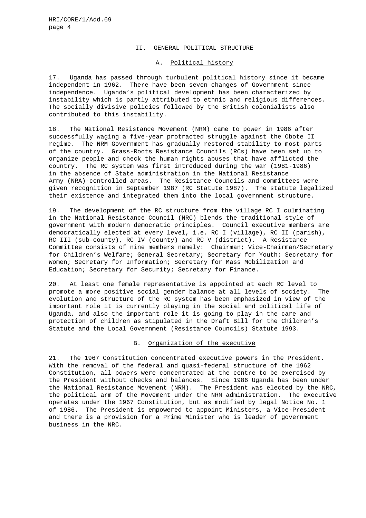#### II. GENERAL POLITICAL STRUCTURE

## A. Political history

17. Uganda has passed through turbulent political history since it became independent in 1962. There have been seven changes of Government since independence. Uganda's political development has been characterized by instability which is partly attributed to ethnic and religious differences. The socially divisive policies followed by the British colonialists also contributed to this instability.

18. The National Resistance Movement (NRM) came to power in 1986 after successfully waging a five-year protracted struggle against the Obote II regime. The NRM Government has gradually restored stability to most parts of the country. Grass-Roots Resistance Councils (RCs) have been set up to organize people and check the human rights abuses that have afflicted the country. The RC system was first introduced during the war (1981-1986) in the absence of State administration in the National Resistance Army (NRA)-controlled areas. The Resistance Councils and committees were given recognition in September 1987 (RC Statute 1987). The statute legalized their existence and integrated them into the local government structure.

19. The development of the RC structure from the village RC I culminating in the National Resistance Council (NRC) blends the traditional style of government with modern democratic principles. Council executive members are democratically elected at every level, i.e. RC I (village), RC II (parish), RC III (sub-county), RC IV (county) and RC V (district). A Resistance Committee consists of nine members namely: Chairman; Vice-Chairman/Secretary for Children's Welfare; General Secretary; Secretary for Youth; Secretary for Women; Secretary for Information; Secretary for Mass Mobilization and Education; Secretary for Security; Secretary for Finance.

20. At least one female representative is appointed at each RC level to promote a more positive social gender balance at all levels of society. The evolution and structure of the RC system has been emphasized in view of the important role it is currently playing in the social and political life of Uganda, and also the important role it is going to play in the care and protection of children as stipulated in the Draft Bill for the Children's Statute and the Local Government (Resistance Councils) Statute 1993.

## B. Organization of the executive

21. The 1967 Constitution concentrated executive powers in the President. With the removal of the federal and quasi-federal structure of the 1962 Constitution, all powers were concentrated at the centre to be exercised by the President without checks and balances. Since 1986 Uganda has been under the National Resistance Movement (NRM). The President was elected by the NRC, the political arm of the Movement under the NRM administration. The executive operates under the 1967 Constitution, but as modified by legal Notice No. 1 of 1986. The President is empowered to appoint Ministers, a Vice-President and there is a provision for a Prime Minister who is leader of government business in the NRC.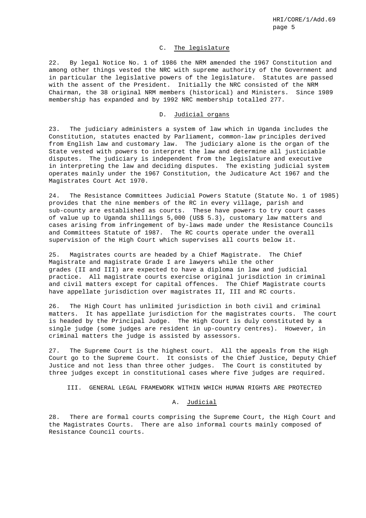# C. The legislature

22. By legal Notice No. 1 of 1986 the NRM amended the 1967 Constitution and among other things vested the NRC with supreme authority of the Government and in particular the legislative powers of the legislature. Statutes are passed with the assent of the President. Initially the NRC consisted of the NRM Chairman, the 38 original NRM members (historical) and Ministers. Since 1989 membership has expanded and by 1992 NRC membership totalled 277.

#### D. Judicial organs

23. The judiciary administers a system of law which in Uganda includes the Constitution, statutes enacted by Parliament, common-law principles derived from English law and customary law. The judiciary alone is the organ of the State vested with powers to interpret the law and determine all justiciable disputes. The judiciary is independent from the legislature and executive in interpreting the law and deciding disputes. The existing judicial system operates mainly under the 1967 Constitution, the Judicature Act 1967 and the Magistrates Court Act 1970.

24. The Resistance Committees Judicial Powers Statute (Statute No. 1 of 1985) provides that the nine members of the RC in every village, parish and sub-county are established as courts. These have powers to try court cases of value up to Uganda shillings 5,000 (US\$ 5.3), customary law matters and cases arising from infringement of by-laws made under the Resistance Councils and Committees Statute of 1987. The RC courts operate under the overall supervision of the High Court which supervises all courts below it.

25. Magistrates courts are headed by a Chief Magistrate. The Chief Magistrate and magistrate Grade I are lawyers while the other grades (II and III) are expected to have a diploma in law and judicial practice. All magistrate courts exercise original jurisdiction in criminal and civil matters except for capital offences. The Chief Magistrate courts have appellate jurisdiction over magistrates II, III and RC courts.

26. The High Court has unlimited jurisdiction in both civil and criminal matters. It has appellate jurisdiction for the magistrates courts. The court is headed by the Principal Judge. The High Court is duly constituted by a single judge (some judges are resident in up-country centres). However, in criminal matters the judge is assisted by assessors.

27. The Supreme Court is the highest court. All the appeals from the High Court go to the Supreme Court. It consists of the Chief Justice, Deputy Chief Justice and not less than three other judges. The Court is constituted by three judges except in constitutional cases where five judges are required.

III. GENERAL LEGAL FRAMEWORK WITHIN WHICH HUMAN RIGHTS ARE PROTECTED

## A. Judicial

28. There are formal courts comprising the Supreme Court, the High Court and the Magistrates Courts. There are also informal courts mainly composed of Resistance Council courts.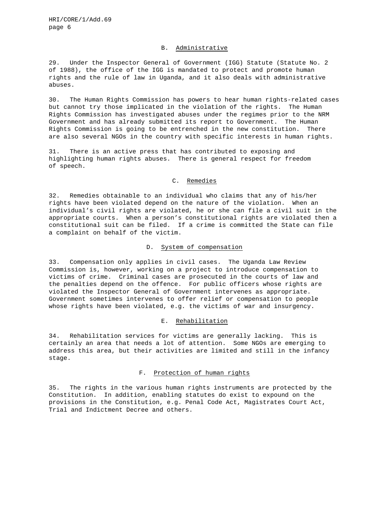#### B. Administrative

29. Under the Inspector General of Government (IGG) Statute (Statute No. 2 of 1988), the office of the IGG is mandated to protect and promote human rights and the rule of law in Uganda, and it also deals with administrative abuses.

30. The Human Rights Commission has powers to hear human rights-related cases but cannot try those implicated in the violation of the rights. The Human Rights Commission has investigated abuses under the regimes prior to the NRM Government and has already submitted its report to Government. The Human Rights Commission is going to be entrenched in the new constitution. There are also several NGOs in the country with specific interests in human rights.

31. There is an active press that has contributed to exposing and highlighting human rights abuses. There is general respect for freedom of speech.

#### C. Remedies

32. Remedies obtainable to an individual who claims that any of his/her rights have been violated depend on the nature of the violation. When an individual's civil rights are violated, he or she can file a civil suit in the appropriate courts. When a person's constitutional rights are violated then a constitutional suit can be filed. If a crime is committed the State can file a complaint on behalf of the victim.

# D. System of compensation

33. Compensation only applies in civil cases. The Uganda Law Review Commission is, however, working on a project to introduce compensation to victims of crime. Criminal cases are prosecuted in the courts of law and the penalties depend on the offence. For public officers whose rights are violated the Inspector General of Government intervenes as appropriate. Government sometimes intervenes to offer relief or compensation to people whose rights have been violated, e.g. the victims of war and insurgency.

#### E. Rehabilitation

34. Rehabilitation services for victims are generally lacking. This is certainly an area that needs a lot of attention. Some NGOs are emerging to address this area, but their activities are limited and still in the infancy stage.

# F. Protection of human rights

35. The rights in the various human rights instruments are protected by the Constitution. In addition, enabling statutes do exist to expound on the provisions in the Constitution, e.g. Penal Code Act, Magistrates Court Act, Trial and Indictment Decree and others.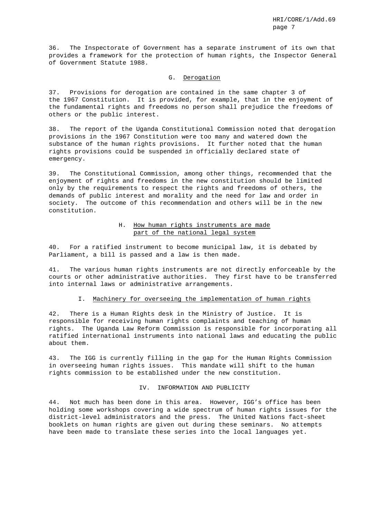36. The Inspectorate of Government has a separate instrument of its own that provides a framework for the protection of human rights, the Inspector General of Government Statute 1988.

## G. Derogation

37. Provisions for derogation are contained in the same chapter 3 of the 1967 Constitution. It is provided, for example, that in the enjoyment of the fundamental rights and freedoms no person shall prejudice the freedoms of others or the public interest.

38. The report of the Uganda Constitutional Commission noted that derogation provisions in the 1967 Constitution were too many and watered down the substance of the human rights provisions. It further noted that the human rights provisions could be suspended in officially declared state of emergency.

39. The Constitutional Commission, among other things, recommended that the enjoyment of rights and freedoms in the new constitution should be limited only by the requirements to respect the rights and freedoms of others, the demands of public interest and morality and the need for law and order in society. The outcome of this recommendation and others will be in the new constitution.

# H. How human rights instruments are made part of the national legal system

40. For a ratified instrument to become municipal law, it is debated by Parliament, a bill is passed and a law is then made.

41. The various human rights instruments are not directly enforceable by the courts or other administrative authorities. They first have to be transferred into internal laws or administrative arrangements.

## I. Machinery for overseeing the implementation of human rights

42. There is a Human Rights desk in the Ministry of Justice. It is responsible for receiving human rights complaints and teaching of human rights. The Uganda Law Reform Commission is responsible for incorporating all ratified international instruments into national laws and educating the public about them.

43. The IGG is currently filling in the gap for the Human Rights Commission in overseeing human rights issues. This mandate will shift to the human rights commission to be established under the new constitution.

### IV. INFORMATION AND PUBLICITY

44. Not much has been done in this area. However, IGG's office has been holding some workshops covering a wide spectrum of human rights issues for the district-level administrators and the press. The United Nations fact-sheet booklets on human rights are given out during these seminars. No attempts have been made to translate these series into the local languages yet.